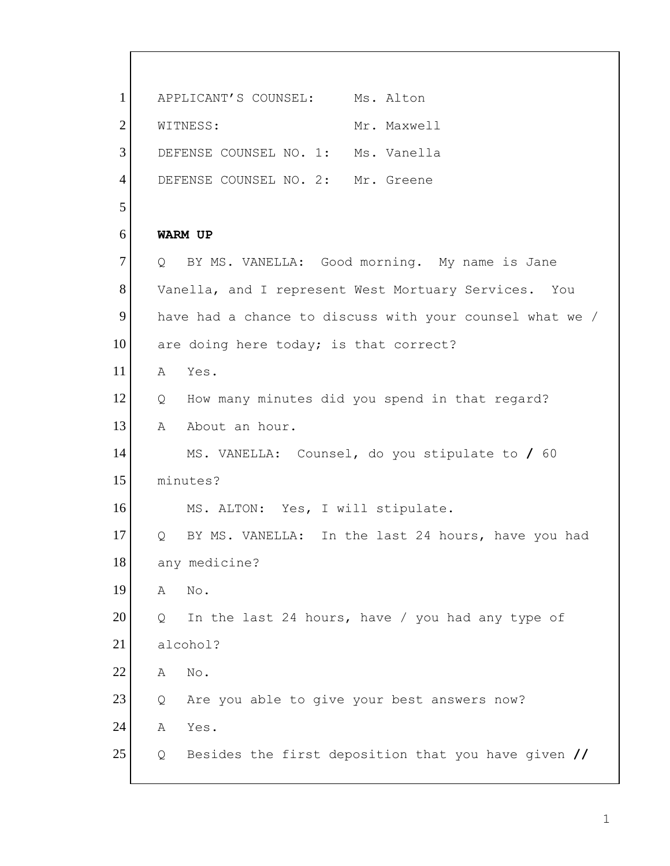1 2 3 4 5 6 7 8 9 10 11 12 13 14 15 16 17 18 19 20 21 22 23 24 25 APPLICANT'S COUNSEL: Ms. Alton WITNESS: Mr. Maxwell DEFENSE COUNSEL NO. 1: Ms. Vanella DEFENSE COUNSEL NO. 2: Mr. Greene **WARM UP**  Q BY MS. VANELLA: Good morning. My name is Jane Vanella, and I represent West Mortuary Services. You have had a chance to discuss with your counsel what we / are doing here today; is that correct? A Yes. Q How many minutes did you spend in that regard? A About an hour. MS. VANELLA: Counsel, do you stipulate to **/** 60 minutes? MS. ALTON: Yes, I will stipulate. Q BY MS. VANELLA: In the last 24 hours, have you had any medicine? A No. Q In the last 24 hours, have / you had any type of alcohol? A No. Q Are you able to give your best answers now? A Yes. Q Besides the first deposition that you have given **//**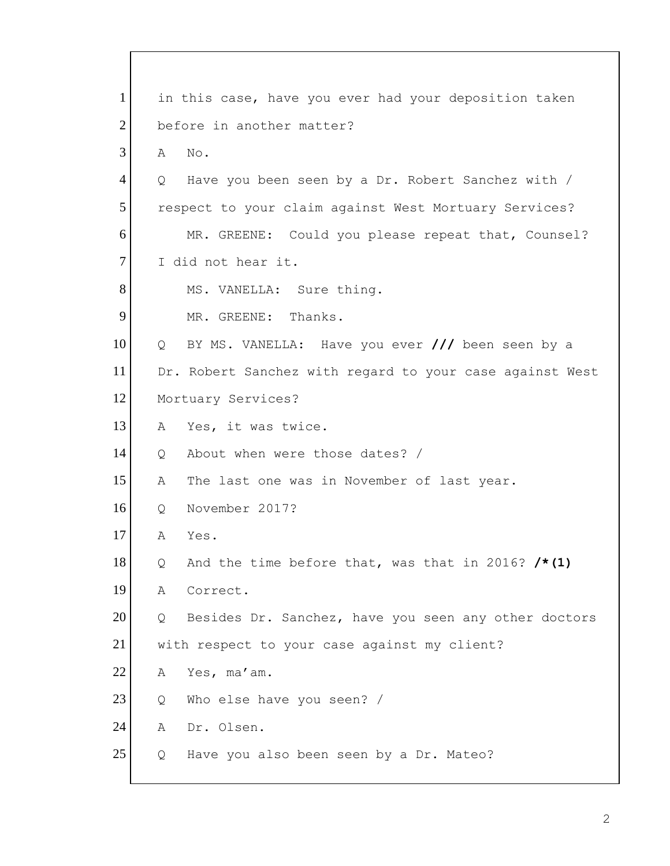MR. GREENE: Could you please repeat that, Counsel?<br>I did not hear it. 1 2 3 4 5 6 7 8 9 10 11 12 13 14 15 16 17 18 19 20 21 22 23 24 25 in this case, have you ever had your deposition taken before in another matter? A No. Q Have you been seen by a Dr. Robert Sanchez with / respect to your claim against West Mortuary Services? MS. VANELLA: Sure thing. MR. GREENE: Thanks. Q BY MS. VANELLA: Have you ever **///** been seen by a Dr. Robert Sanchez with regard to your case against West Mortuary Services? A Yes, it was twice. Q About when were those dates? / A The last one was in November of last year. Q November 2017? A Yes. Q And the time before that, was that in 2016? **/\*(1)**  A Correct. Q Besides Dr. Sanchez, have you seen any other doctors with respect to your case against my client? A Yes, ma'am. Q Who else have you seen? / A Dr. Olsen. Q Have you also been seen by a Dr. Mateo?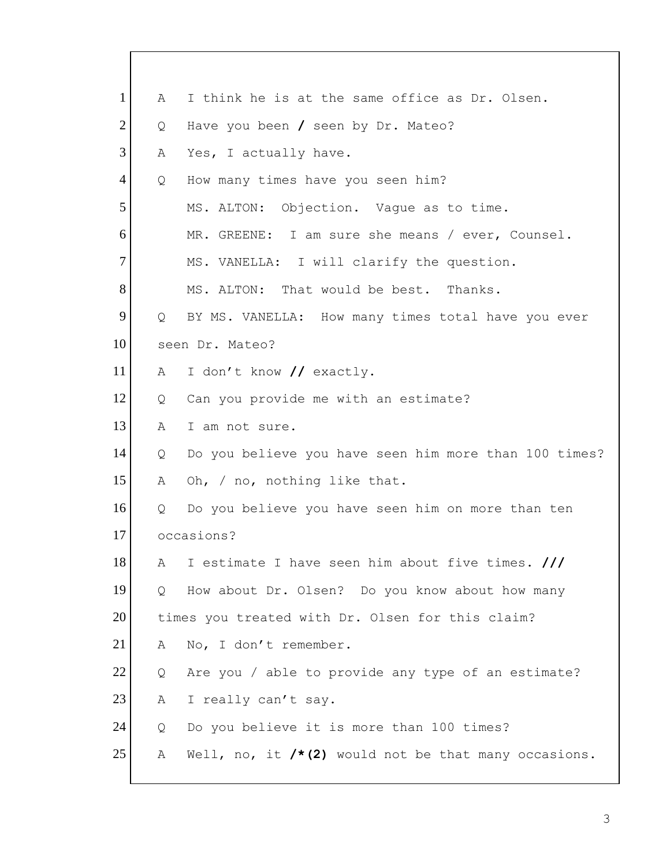| 1              | A | I think he is at the same office as Dr. Olsen.        |
|----------------|---|-------------------------------------------------------|
| $\overline{2}$ | Q | Have you been / seen by Dr. Mateo?                    |
| 3              | Α | Yes, I actually have.                                 |
| 4              | Q | How many times have you seen him?                     |
| 5              |   | Objection. Vague as to time.<br>MS. ALTON:            |
| 6              |   | MR. GREENE: I am sure she means / ever, Counsel.      |
| $\overline{7}$ |   | MS. VANELLA: I will clarify the question.             |
| 8              |   | MS. ALTON: That would be best. Thanks.                |
| 9              | Q | BY MS. VANELLA: How many times total have you ever    |
| 10             |   | seen Dr. Mateo?                                       |
| 11             | A | I don't know // exactly.                              |
| 12             | Q | Can you provide me with an estimate?                  |
| 13             | Α | I am not sure.                                        |
| 14             | Q | Do you believe you have seen him more than 100 times? |
| 15             | Α | Oh, / no, nothing like that.                          |
| 16             | Q | Do you believe you have seen him on more than ten     |
| 17             |   | occasions?                                            |
| 18             | А | I estimate I have seen him about five times. ///      |
| 19             | Q | How about Dr. Olsen? Do you know about how many       |
| 20             |   | times you treated with Dr. Olsen for this claim?      |
| 21             | A | No, I don't remember.                                 |
| 22             | Q | Are you / able to provide any type of an estimate?    |
| 23             | А | I really can't say.                                   |
| 24             | Q | Do you believe it is more than 100 times?             |
| 25             | А | Well, no, it /*(2) would not be that many occasions.  |
|                |   |                                                       |

 $\mathbf l$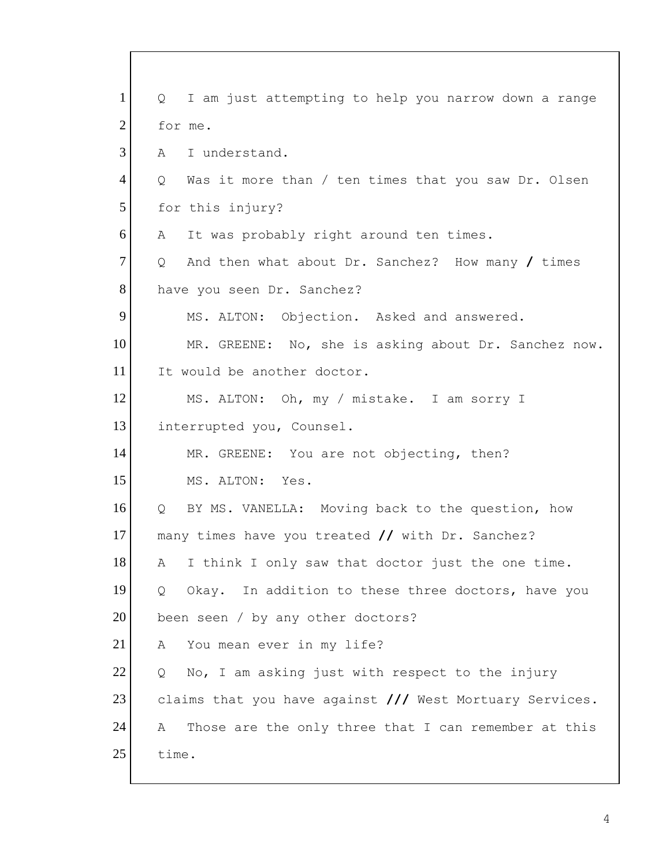1 2 3 4 5 6 7 8 9 10 11 12 13 14 15 16 17 18 19 20 21 22 23 24 25 Q I am just attempting to help you narrow down a range for me. A I understand. Q Was it more than / ten times that you saw Dr. Olsen for this injury? A It was probably right around ten times. Q And then what about Dr. Sanchez? How many **/** times have you seen Dr. Sanchez? MS. ALTON: Objection. Asked and answered. MR. GREENE: No, she is asking about Dr. Sanchez now. It would be another doctor. MS. ALTON: Oh, my / mistake. I am sorry I interrupted you, Counsel. MR. GREENE: You are not objecting, then? MS. ALTON: Yes. Q BY MS. VANELLA: Moving back to the question, how many times have you treated **//** with Dr. Sanchez? A I think I only saw that doctor just the one time. Q Okay. In addition to these three doctors, have you been seen / by any other doctors? A You mean ever in my life? Q No, I am asking just with respect to the injury claims that you have against **///** West Mortuary Services. A Those are the only three that I can remember at this time.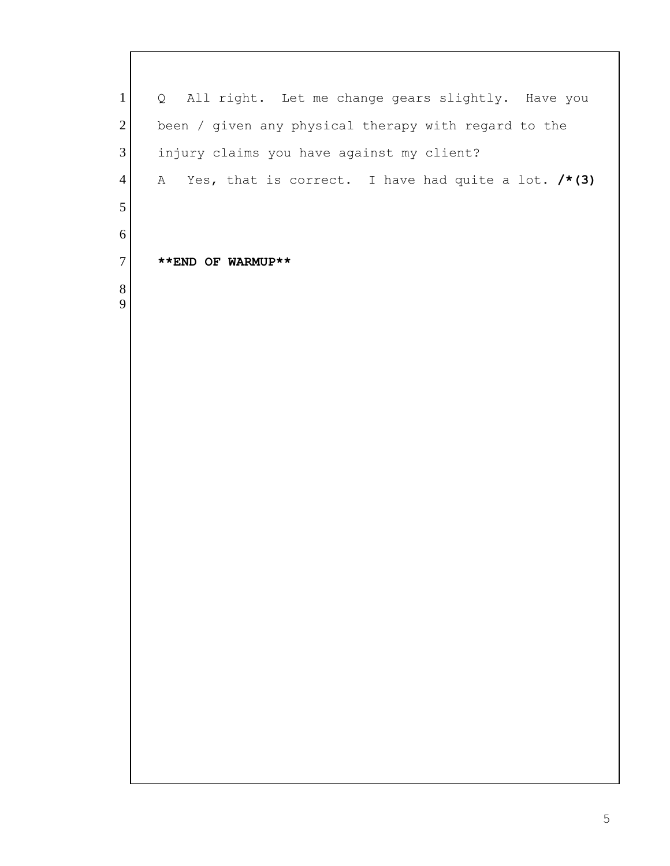Q All right. Let me change gears slightly. Have you been / given any physical therapy with regard to the injury claims you have against my client? A Yes, that is correct. I have had quite a lot. **/\*(3) \*\*END OF WARMUP\*\***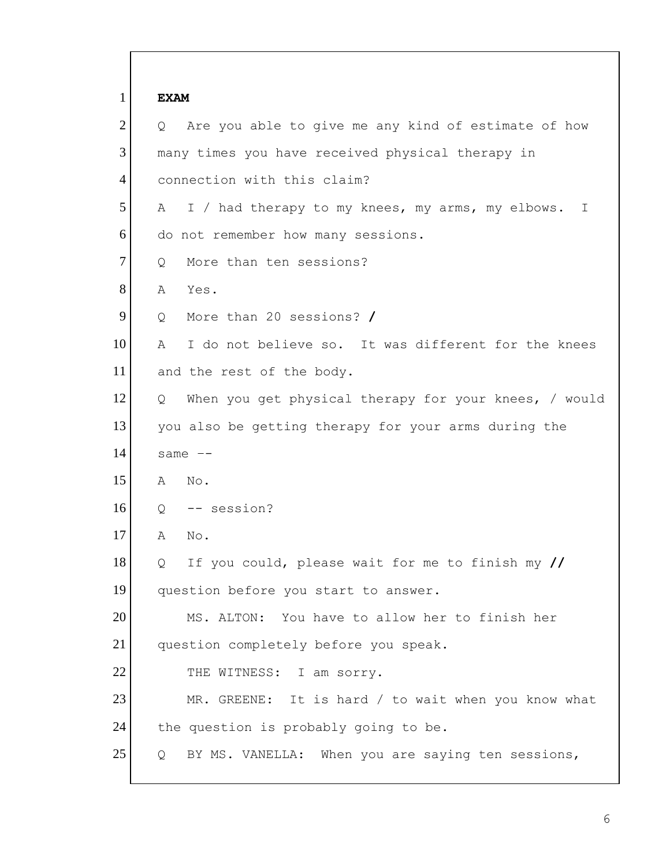| $\mathbf{1}$   | <b>EXAM</b>                                                |
|----------------|------------------------------------------------------------|
| $\overline{2}$ | Are you able to give me any kind of estimate of how<br>Q   |
| 3              | many times you have received physical therapy in           |
| 4              | connection with this claim?                                |
| 5              | I / had therapy to my knees, my arms, my elbows.<br>A<br>I |
| 6              | do not remember how many sessions.                         |
| 7              | More than ten sessions?<br>Q                               |
| 8              | Α<br>Yes.                                                  |
| 9              | More than 20 sessions? /<br>Q                              |
| 10             | I do not believe so. It was different for the knees<br>Α   |
| 11             | and the rest of the body.                                  |
| 12             | When you get physical therapy for your knees, / would<br>Q |
| 13             | you also be getting therapy for your arms during the       |
| 14             | same $--$                                                  |
| 15             | No.<br>Α                                                   |
| 16             | -- session?<br>Q                                           |
| 17             | Α<br>No.                                                   |
| 18             | If you could, please wait for me to finish my //<br>Q      |
| 19             | question before you start to answer.                       |
| 20             | MS. ALTON: You have to allow her to finish her             |
| 21             | question completely before you speak.                      |
| 22             | THE WITNESS: I am sorry.                                   |
| 23             | MR. GREENE: It is hard / to wait when you know what        |
| 24             | the question is probably going to be.                      |
| 25             | BY MS. VANELLA: When you are saying ten sessions,<br>Q     |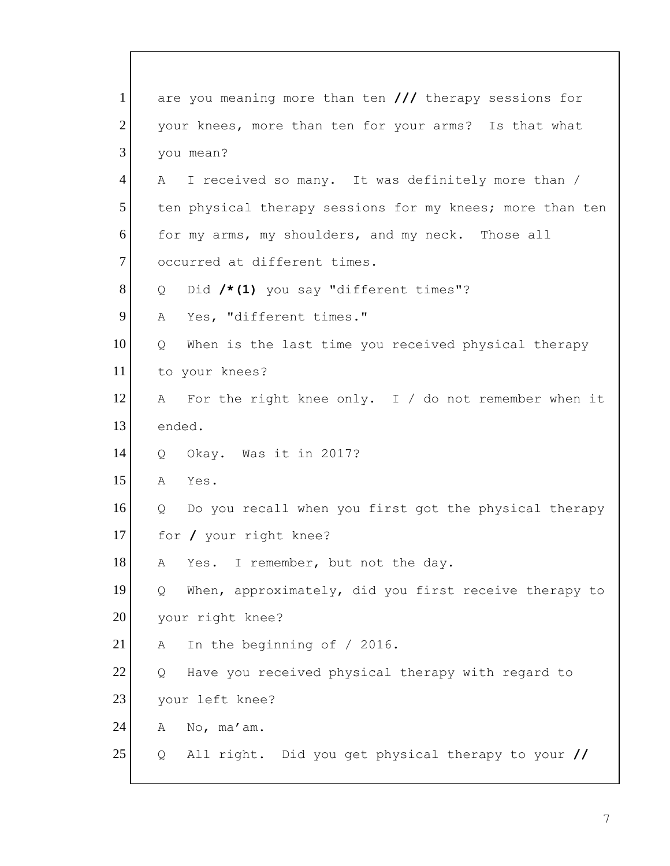1 2 3 4 5 6 7 8 9 10 11 12 13 14 15 16 17 18 19 20 21 22 23 24 25 are you meaning more than ten **///** therapy sessions for your knees, more than ten for your arms? Is that what you mean? A I received so many. It was definitely more than / ten physical therapy sessions for my knees; more than ten for my arms, my shoulders, and my neck. Those all occurred at different times. Q Did **/\*(1)** you say "different times"? A Yes, "different times." Q When is the last time you received physical therapy to your knees? A For the right knee only. I / do not remember when it ended. Q Okay. Was it in 2017? A Yes. Q Do you recall when you first got the physical therapy for **/** your right knee? A Yes. I remember, but not the day. Q When, approximately, did you first receive therapy to your right knee? A In the beginning of / 2016. Q Have you received physical therapy with regard to your left knee? A No, ma'am. Q All right. Did you get physical therapy to your **//**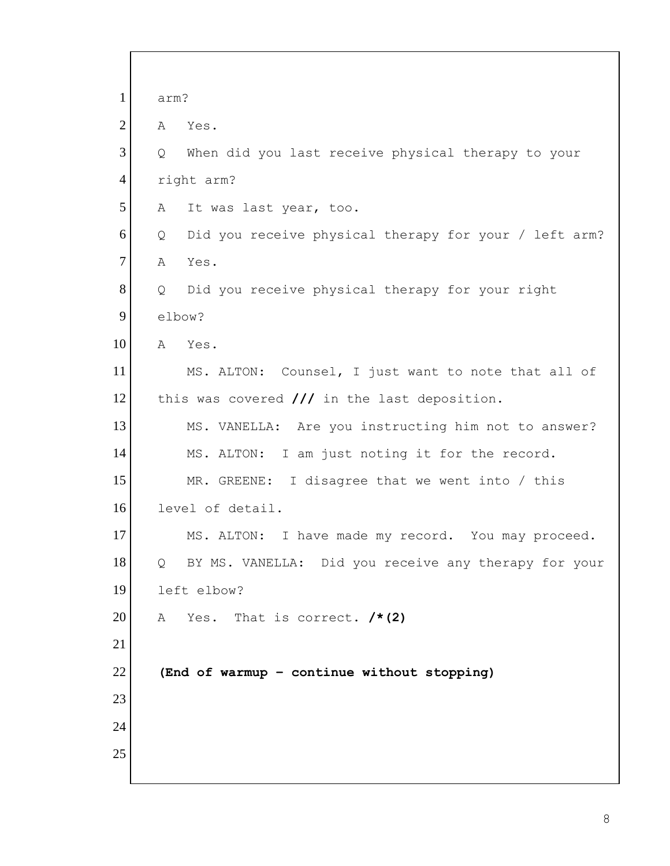| $\mathbf{1}$   | arm?   |                                                        |
|----------------|--------|--------------------------------------------------------|
| $\overline{2}$ | А      | Yes.                                                   |
| 3              | Q      | When did you last receive physical therapy to your     |
| $\overline{4}$ |        | right arm?                                             |
| 5              | Α      | It was last year, too.                                 |
| 6              | Q      | Did you receive physical therapy for your / left arm?  |
| $\tau$         | A      | Yes.                                                   |
| 8              | Q      | Did you receive physical therapy for your right        |
| 9              | elbow? |                                                        |
| 10             | A      | Yes.                                                   |
| 11             |        | MS. ALTON: Counsel, I just want to note that all of    |
| 12             |        | this was covered $\frac{1}{1}$ in the last deposition. |
| 13             |        | MS. VANELLA: Are you instructing him not to answer?    |
| 14             |        | MS. ALTON: I am just noting it for the record.         |
| 15             |        | MR. GREENE: I disagree that we went into / this        |
| 16             |        | level of detail.                                       |
| 17             |        | MS. ALTON: I have made my record. You may proceed.     |
| 18             | Q      | BY MS. VANELLA: Did you receive any therapy for your   |
| 19             |        | left elbow?                                            |
| 20             | A      | Yes. That is correct. $/* (2)$                         |
| 21             |        |                                                        |
| 22             |        | (End of warmup - continue without stopping)            |
| 23             |        |                                                        |
| 24             |        |                                                        |
| 25             |        |                                                        |
|                |        |                                                        |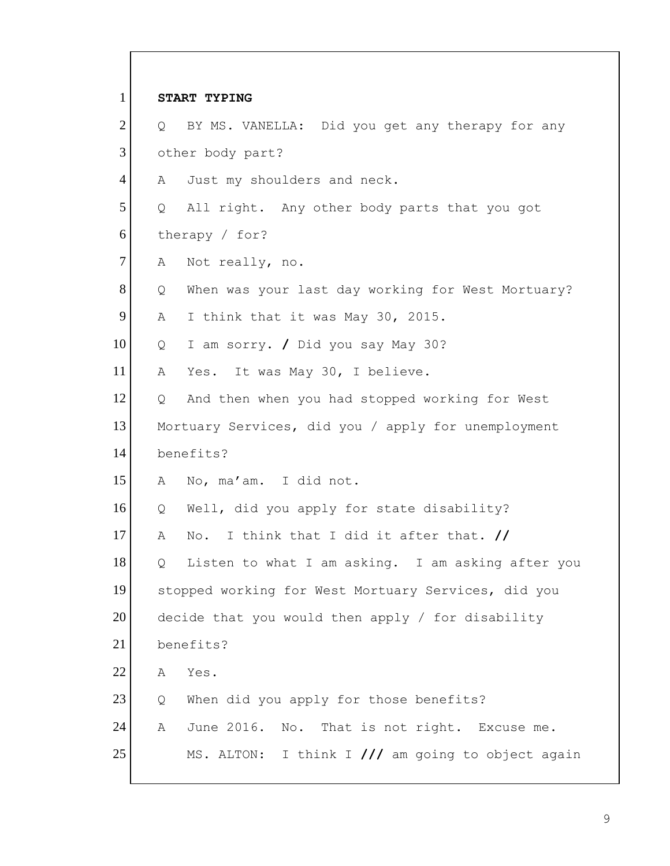| $\mathbf{1}$   |   | START TYPING                                        |
|----------------|---|-----------------------------------------------------|
| $\overline{2}$ | Q | BY MS. VANELLA: Did you get any therapy for any     |
| 3              |   | other body part?                                    |
| $\overline{4}$ | Α | Just my shoulders and neck.                         |
| 5              | Q | All right. Any other body parts that you got        |
| 6              |   | therapy / for?                                      |
| $\overline{7}$ | Α | Not really, no.                                     |
| 8              | Q | When was your last day working for West Mortuary?   |
| 9              | Α | I think that it was May 30, 2015.                   |
| 10             | Q | I am sorry. / Did you say May 30?                   |
| 11             | Α | It was May 30, I believe.<br>Yes.                   |
| 12             | Q | And then when you had stopped working for West      |
| 13             |   | Mortuary Services, did you / apply for unemployment |
| 14             |   | benefits?                                           |
| 15             | Α | No, ma'am. I did not.                               |
| 16             | Q | Well, did you apply for state disability?           |
| 17             | Α | I think that I did it after that. //<br>No.         |
| 18             | Q | Listen to what I am asking. I am asking after you   |
| 19             |   | stopped working for West Mortuary Services, did you |
| 20             |   | decide that you would then apply / for disability   |
| 21             |   | benefits?                                           |
| 22             | Α | Yes.                                                |
| 23             | Q | When did you apply for those benefits?              |
| 24             | Α | June 2016. No. That is not right. Excuse me.        |
| 25             |   | MS. ALTON: I think I /// am going to object again   |

 $\mathbf{I}$ 

9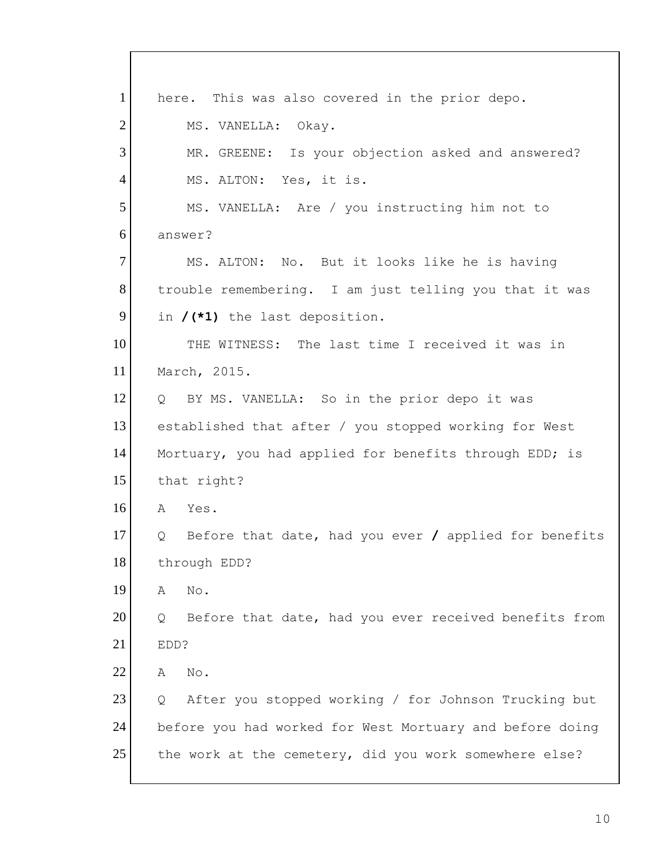1 2 3 4 5 6 7 8 9 10 11 12 13 14 15 16 17 18 19 20 21 22 23 24 25 here. This was also covered in the prior depo. MS. VANELLA: Okay. MR. GREENE: Is your objection asked and answered? MS. ALTON: Yes, it is. MS. VANELLA: Are / you instructing him not to answer? MS. ALTON: No. But it looks like he is having trouble remembering. I am just telling you that it was in **/(\*1)** the last deposition. THE WITNESS: The last time I received it was in March, 2015. Q BY MS. VANELLA: So in the prior depo it was established that after / you stopped working for West Mortuary, you had applied for benefits through EDD; is that right? A Yes. Q Before that date, had you ever **/** applied for benefits through EDD? A No. Q Before that date, had you ever received benefits from EDD? A No. Q After you stopped working / for Johnson Trucking but before you had worked for West Mortuary and before doing the work at the cemetery, did you work somewhere else?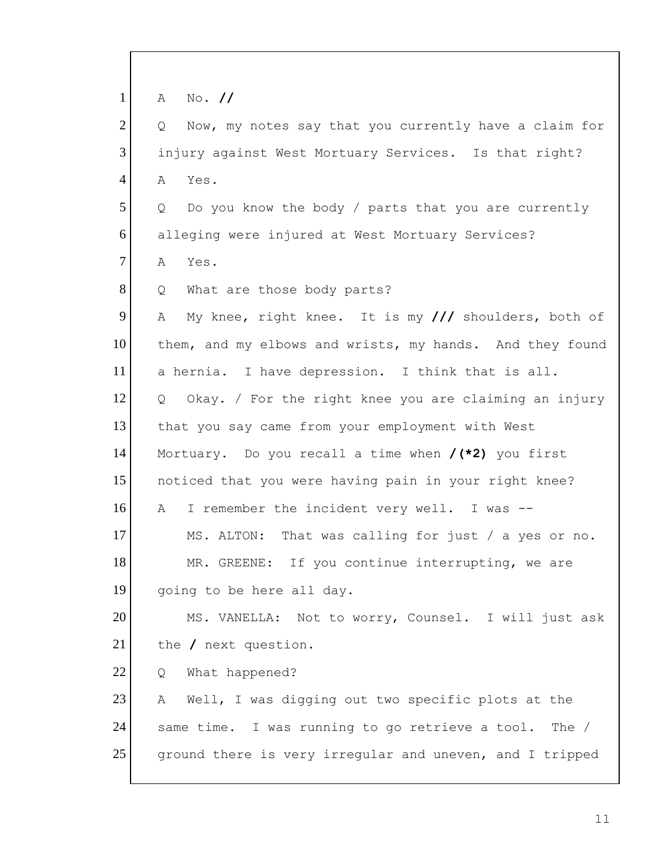| $\mathbf{1}$   | $No.$ //<br>A                                              |
|----------------|------------------------------------------------------------|
| $\overline{2}$ | Now, my notes say that you currently have a claim for<br>Q |
| 3              | injury against West Mortuary Services. Is that right?      |
| $\overline{4}$ | Yes.<br>А                                                  |
| 5              | Do you know the body / parts that you are currently<br>Q   |
| 6              | alleging were injured at West Mortuary Services?           |
| 7              | Yes.<br>A                                                  |
| 8              | What are those body parts?<br>Q                            |
| 9              | My knee, right knee. It is my /// shoulders, both of<br>Α  |
| 10             | them, and my elbows and wrists, my hands. And they found   |
| 11             | a hernia. I have depression. I think that is all.          |
| 12             | Okay. / For the right knee you are claiming an injury<br>Q |
| 13             | that you say came from your employment with West           |
| 14             | Mortuary. Do you recall a time when $/(*2)$ you first      |
| 15             | noticed that you were having pain in your right knee?      |
| 16             | I remember the incident very well. I was --<br>A           |
| 17             | That was calling for just / a yes or no.<br>MS. ALTON:     |
| 18             | MR. GREENE: If you continue interrupting, we are           |
| 19             | going to be here all day.                                  |
| 20             | MS. VANELLA: Not to worry, Counsel. I will just ask        |
| 21             | the / next question.                                       |
| 22             | What happened?<br>Q                                        |
| 23             | Well, I was digging out two specific plots at the<br>A     |
| 24             | same time. I was running to go retrieve a tool.<br>The $/$ |
| 25             | ground there is very irregular and uneven, and I tripped   |
|                |                                                            |

I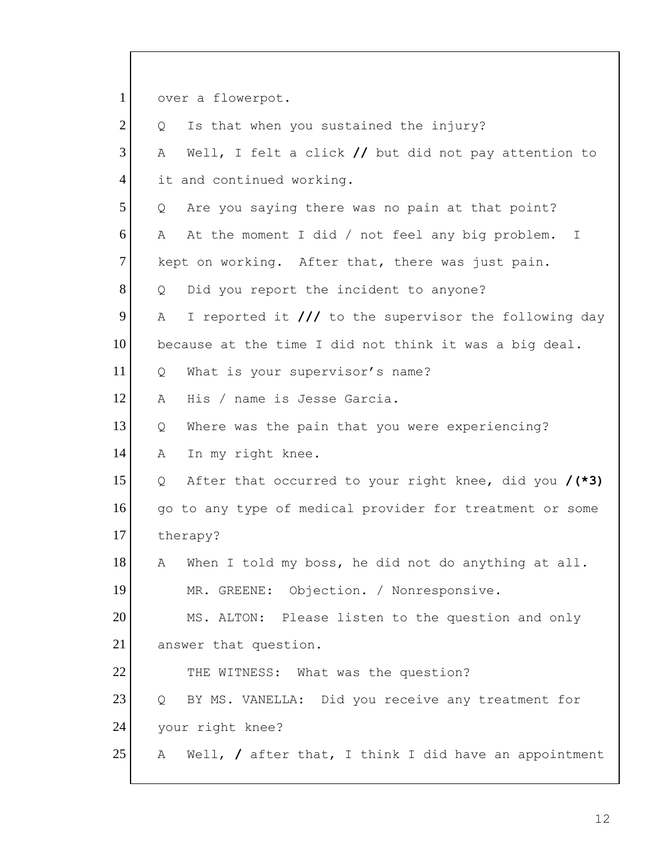1 2 3 4 5 6 7 8 9 10 11 12 13 14 15 16 17 18 19 20 21 22 23 24 25 over a flowerpot. Q Is that when you sustained the injury? A Well, I felt a click **//** but did not pay attention to it and continued working. Q Are you saying there was no pain at that point? A At the moment I did / not feel any big problem. I kept on working. After that, there was just pain. Q Did you report the incident to anyone? A I reported it **///** to the supervisor the following day because at the time I did not think it was a big deal. Q What is your supervisor's name? A His / name is Jesse Garcia. Q Where was the pain that you were experiencing? A In my right knee. Q After that occurred to your right knee, did you **/(\*3)**  go to any type of medical provider for treatment or some therapy? A When I told my boss, he did not do anything at all. MR. GREENE: Objection. / Nonresponsive. MS. ALTON: Please listen to the question and only answer that question. THE WITNESS: What was the question? Q BY MS. VANELLA: Did you receive any treatment for your right knee? A Well, **/** after that, I think I did have an appointment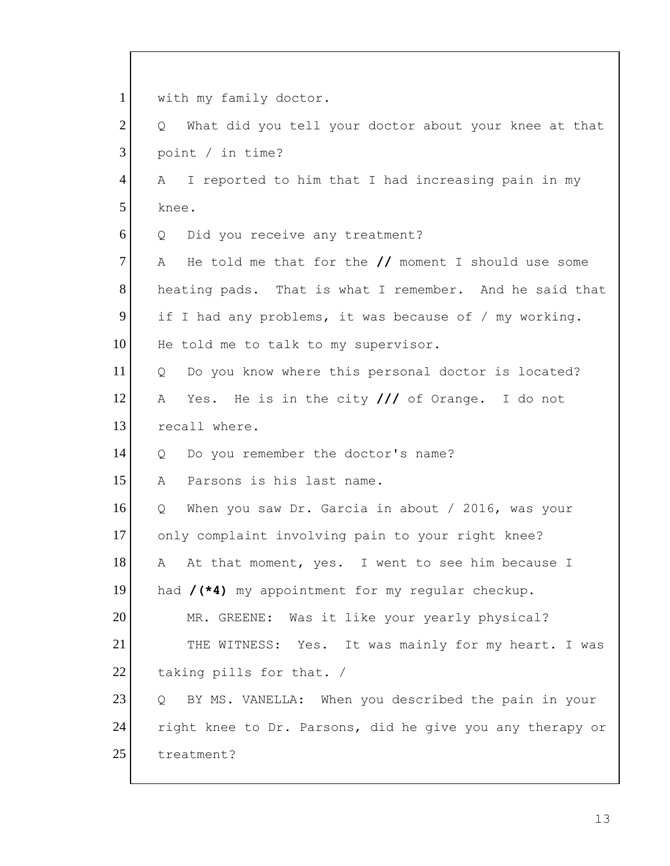1 2 3 4 5 6 7 8 9 10 11 12 13 14 15 16 17 18 19 20 21 22 23 24 25 with my family doctor. Q What did you tell your doctor about your knee at that point / in time? A I reported to him that I had increasing pain in my knee. Q Did you receive any treatment? A He told me that for the **//** moment I should use some heating pads. That is what I remember. And he said that if I had any problems, it was because of / my working. He told me to talk to my supervisor. Q Do you know where this personal doctor is located? A Yes. He is in the city **///** of Orange. I do not recall where. Q Do you remember the doctor's name? A Parsons is his last name. Q When you saw Dr. Garcia in about / 2016, was your only complaint involving pain to your right knee? A At that moment, yes. I went to see him because I had **/(\*4)** my appointment for my regular checkup. MR. GREENE: Was it like your yearly physical? THE WITNESS: Yes. It was mainly for my heart. I was taking pills for that. / Q BY MS. VANELLA: When you described the pain in your right knee to Dr. Parsons, did he give you any therapy or treatment?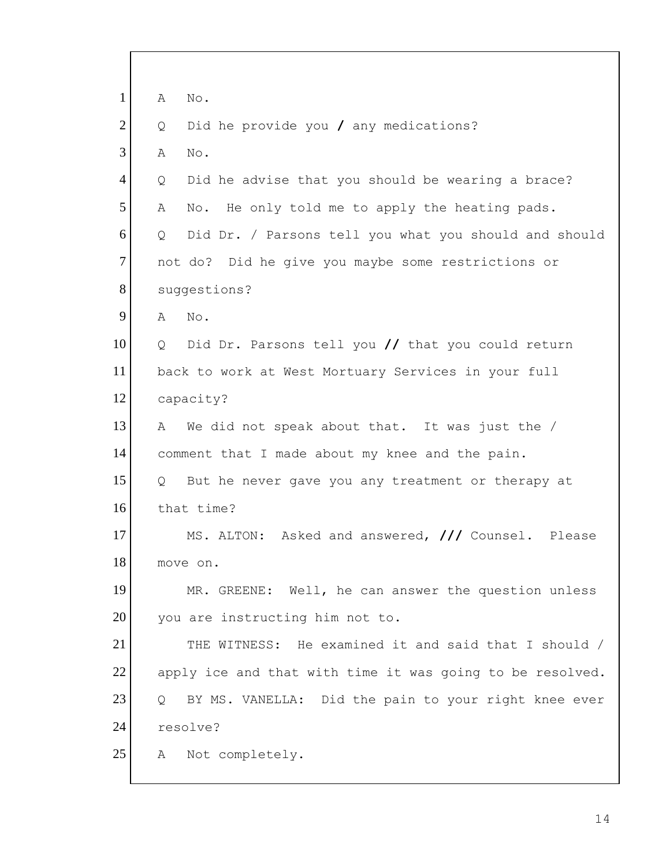| $\mathbf{1}$   | Α<br>No.                                                   |
|----------------|------------------------------------------------------------|
| $\overline{2}$ | Did he provide you / any medications?<br>Q                 |
| 3              | Α<br>No.                                                   |
| $\overline{4}$ | Did he advise that you should be wearing a brace?<br>Q     |
| 5              | He only told me to apply the heating pads.<br>A<br>No.     |
| 6              | Did Dr. / Parsons tell you what you should and should<br>Q |
| $\tau$         | not do? Did he give you maybe some restrictions or         |
| 8              | suggestions?                                               |
| 9              | No.<br>Α                                                   |
| 10             | Did Dr. Parsons tell you // that you could return<br>Q     |
| 11             | back to work at West Mortuary Services in your full        |
| 12             | capacity?                                                  |
| 13             | We did not speak about that. It was just the /<br>A        |
| 14             | comment that I made about my knee and the pain.            |
| 15             | But he never gave you any treatment or therapy at<br>Q     |
| 16             | that time?                                                 |
| 17             | MS. ALTON: Asked and answered, /// Counsel. Please         |
| 18             | move on.                                                   |
| 19             | MR. GREENE: Well, he can answer the question unless        |
| 20             | you are instructing him not to.                            |
| 21             | THE WITNESS: He examined it and said that I should /       |
| 22             | apply ice and that with time it was going to be resolved.  |
| 23             | BY MS. VANELLA: Did the pain to your right knee ever<br>Q. |
| 24             | resolve?                                                   |
| 25             | Not completely.<br>Α                                       |
|                |                                                            |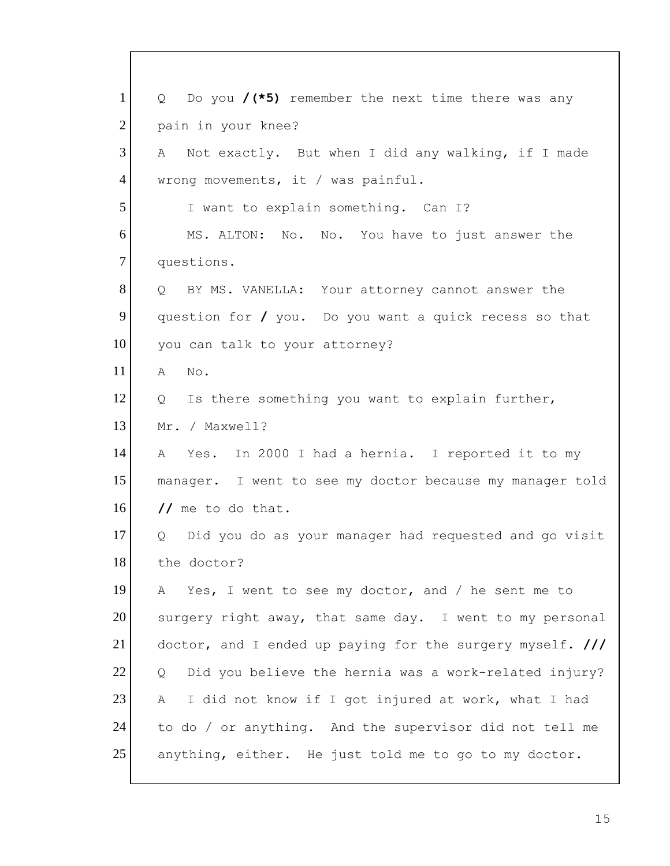| $\mathbf{1}$   | Q Do you $/(*)$ remember the next time there was any       |
|----------------|------------------------------------------------------------|
| $\overline{2}$ | pain in your knee?                                         |
| 3              | Not exactly. But when I did any walking, if I made<br>A    |
| $\overline{4}$ | wrong movements, it / was painful.                         |
| 5              | I want to explain something. Can I?                        |
| 6              | MS. ALTON: No. No. You have to just answer the             |
| $\tau$         | questions.                                                 |
| 8              | Q BY MS. VANELLA: Your attorney cannot answer the          |
| 9              | question for / you. Do you want a quick recess so that     |
| 10             | you can talk to your attorney?                             |
| 11             | A<br>No.                                                   |
| 12             | Is there something you want to explain further,<br>Q       |
| 13             | Mr. / Maxwell?                                             |
| 14             | Yes. In 2000 I had a hernia. I reported it to my<br>A      |
| 15             | manager. I went to see my doctor because my manager told   |
| 16             | // me to do that.                                          |
| 17             | Did you do as your manager had requested and go visit<br>Q |
| 18             | the doctor?                                                |
| 19             | Yes, I went to see my doctor, and / he sent me to<br>A     |
| 20             | surgery right away, that same day. I went to my personal   |
| 21             | doctor, and I ended up paying for the surgery myself. ///  |
| 22             | Did you believe the hernia was a work-related injury?<br>Q |
| 23             | I did not know if I got injured at work, what I had<br>A   |
| 24             | to do / or anything. And the supervisor did not tell me    |
| 25             | anything, either. He just told me to go to my doctor.      |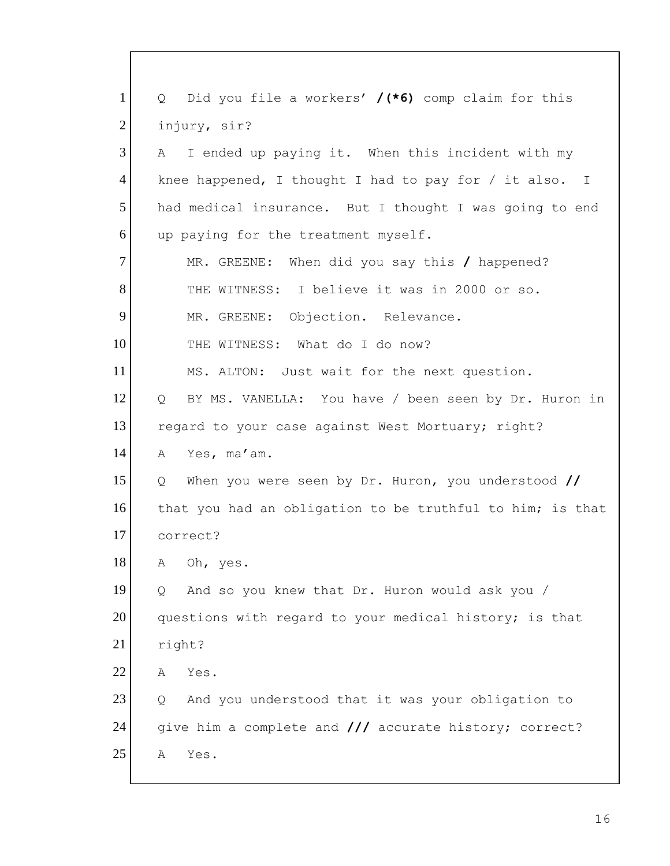| $\mathbf{1}$   | Did you file a workers' $/(*6)$ comp claim for this<br>$Q_{\rm c}$ |
|----------------|--------------------------------------------------------------------|
| $\overline{2}$ | injury, sir?                                                       |
| 3              | I ended up paying it. When this incident with my<br>A              |
| $\overline{4}$ | knee happened, I thought I had to pay for $/$ it also. I           |
| 5              | had medical insurance. But I thought I was going to end            |
| 6              | up paying for the treatment myself.                                |
| 7              | MR. GREENE: When did you say this / happened?                      |
| 8              | THE WITNESS: I believe it was in 2000 or so.                       |
| 9              | MR. GREENE: Objection. Relevance.                                  |
| 10             | THE WITNESS: What do I do now?                                     |
| 11             | MS. ALTON: Just wait for the next question.                        |
| 12             | BY MS. VANELLA: You have / been seen by Dr. Huron in<br>Q          |
| 13             | regard to your case against West Mortuary; right?                  |
| 14             | Yes, ma'am.<br>A                                                   |
| 15             | When you were seen by Dr. Huron, you understood //<br>Q            |
| 16             | that you had an obligation to be truthful to him; is that          |
| 17             | correct?                                                           |
| 18             | Oh, yes.<br>Α                                                      |
| 19             | And so you knew that Dr. Huron would ask you /<br>Q                |
| 20             | questions with regard to your medical history; is that             |
| 21             | right?                                                             |
| 22             | Yes.<br>Α                                                          |
| 23             | And you understood that it was your obligation to<br>Q             |
| 24             | give him a complete and /// accurate history; correct?             |
| 25             | Yes.<br>Α                                                          |
|                |                                                                    |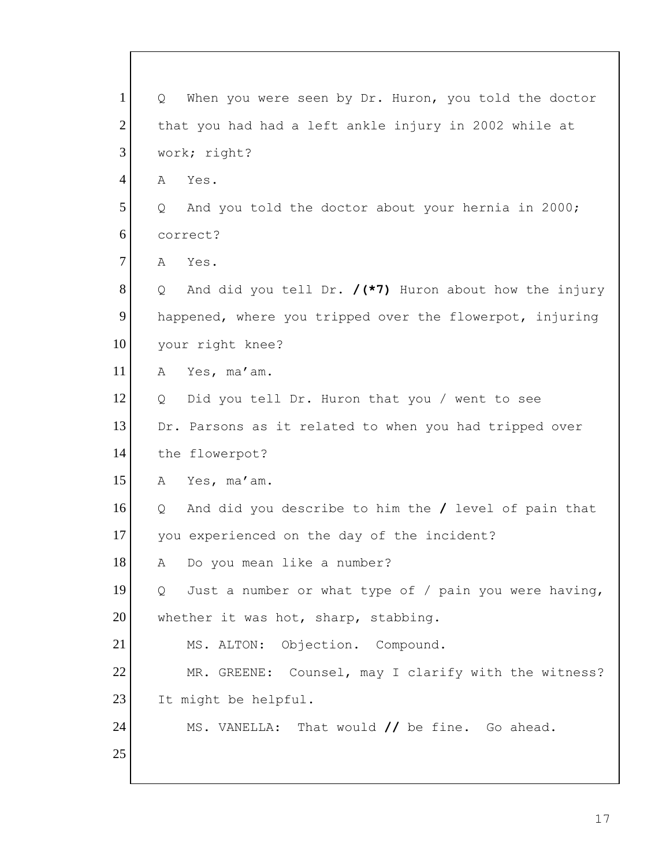| $\mathbf{1}$   | When you were seen by Dr. Huron, you told the doctor<br>Q     |
|----------------|---------------------------------------------------------------|
| $\overline{2}$ | that you had had a left ankle injury in 2002 while at         |
| 3              | work; right?                                                  |
| $\overline{4}$ | Yes.<br>A                                                     |
| 5              | And you told the doctor about your hernia in 2000;<br>$\circ$ |
| 6              | correct?                                                      |
| 7              | Α<br>Yes.                                                     |
| 8              | And did you tell Dr. $/(*)$ Huron about how the injury<br>Q   |
| 9              | happened, where you tripped over the flowerpot, injuring      |
| 10             | your right knee?                                              |
| 11             | Yes, ma'am.<br>А                                              |
| 12             | Did you tell Dr. Huron that you / went to see<br>Q            |
| 13             | Dr. Parsons as it related to when you had tripped over        |
| 14             | the flowerpot?                                                |
| 15             | Yes, ma'am.<br>А                                              |
| 16             | And did you describe to him the / level of pain that<br>Q     |
| 17             | you experienced on the day of the incident?                   |
| 18             | Do you mean like a number?<br>A                               |
| 19             | Just a number or what type of / pain you were having,<br>Q    |
| 20             | whether it was hot, sharp, stabbing.                          |
| 21             | Objection. Compound.<br>MS. ALTON:                            |
| 22             | MR. GREENE: Counsel, may I clarify with the witness?          |
| 23             | It might be helpful.                                          |
| 24             | MS. VANELLA: That would // be fine. Go ahead.                 |
| 25             |                                                               |
|                |                                                               |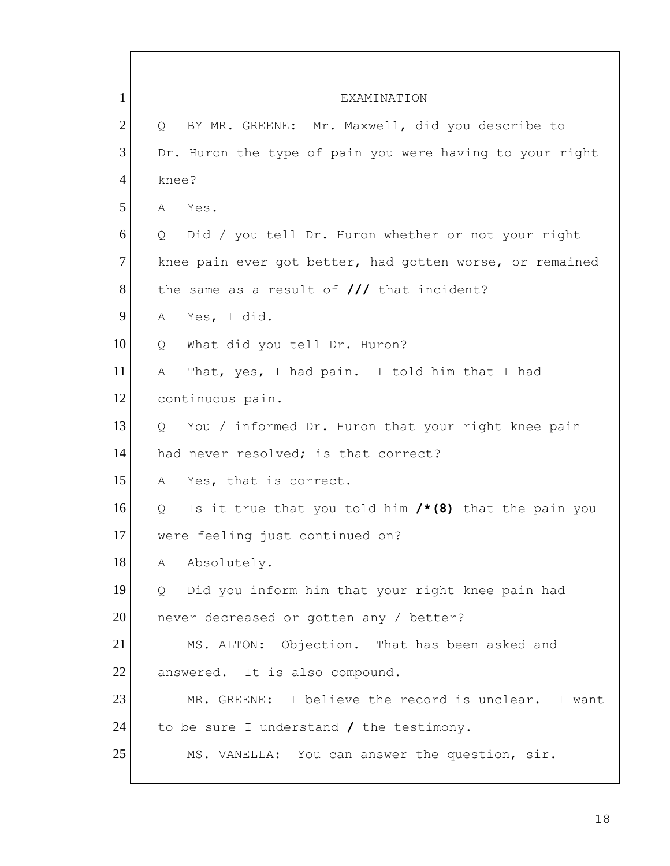| 1              | EXAMINATION                                                 |
|----------------|-------------------------------------------------------------|
| $\overline{2}$ | BY MR. GREENE: Mr. Maxwell, did you describe to<br>Q        |
| 3              | Dr. Huron the type of pain you were having to your right    |
| $\overline{4}$ | knee?                                                       |
| 5              | Yes.<br>A                                                   |
| 6              | Did / you tell Dr. Huron whether or not your right<br>Q     |
| $\overline{7}$ | knee pain ever got better, had gotten worse, or remained    |
| 8              | the same as a result of $//$ that incident?                 |
| 9              | Α<br>Yes, I did.                                            |
| 10             | What did you tell Dr. Huron?<br>Q                           |
| 11             | That, yes, I had pain. I told him that I had<br>A           |
| 12             | continuous pain.                                            |
| 13             | Q<br>You / informed Dr. Huron that your right knee pain     |
| 14             | had never resolved; is that correct?                        |
| 15             | Yes, that is correct.<br>A                                  |
| 16             | Is it true that you told him $/*(8)$ that the pain you<br>Q |
| 17             | were feeling just continued on?                             |
| 18             | Absolutely.<br>А                                            |
| 19             | Did you inform him that your right knee pain had<br>Q       |
| 20             | never decreased or gotten any / better?                     |
| 21             | MS. ALTON: Objection. That has been asked and               |
| 22             | answered. It is also compound.                              |
| 23             | MR. GREENE: I believe the record is unclear. I want         |
| 24             | to be sure I understand / the testimony.                    |
| 25             | MS. VANELLA: You can answer the question, sir.              |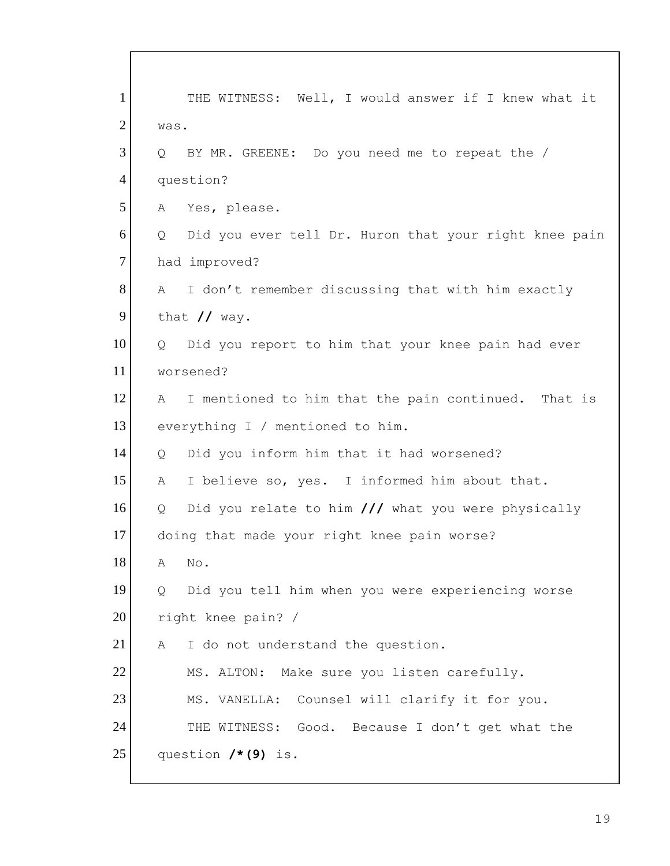| $\mathbf{1}$   | THE WITNESS: Well, I would answer if I knew what it        |
|----------------|------------------------------------------------------------|
| $\overline{2}$ | was.                                                       |
| 3              | BY MR. GREENE: Do you need me to repeat the /<br>$\circ$   |
| 4              | question?                                                  |
| 5              | Yes, please.<br>A                                          |
| 6              | Did you ever tell Dr. Huron that your right knee pain<br>Q |
| $\overline{7}$ | had improved?                                              |
| 8              | I don't remember discussing that with him exactly<br>A     |
| 9              | that $//$ way.                                             |
| 10             | Did you report to him that your knee pain had ever<br>Q    |
| 11             | worsened?                                                  |
| 12             | I mentioned to him that the pain continued. That is<br>A   |
| 13             | everything I / mentioned to him.                           |
| 14             | Did you inform him that it had worsened?<br>Q              |
| 15             | I believe so, yes. I informed him about that.<br>A         |
| 16             | Did you relate to him /// what you were physically<br>Q    |
| 17             | doing that made your right knee pain worse?                |
| 18             | No.<br>Α                                                   |
| 19             | Did you tell him when you were experiencing worse<br>Q     |
| 20             | right knee pain? /                                         |
| 21             | I do not understand the question.<br>A                     |
| 22             | MS. ALTON: Make sure you listen carefully.                 |
| 23             | MS. VANELLA: Counsel will clarify it for you.              |
| 24             | THE WITNESS: Good. Because I don't get what the            |
| 25             | question $/*(9)$ is.                                       |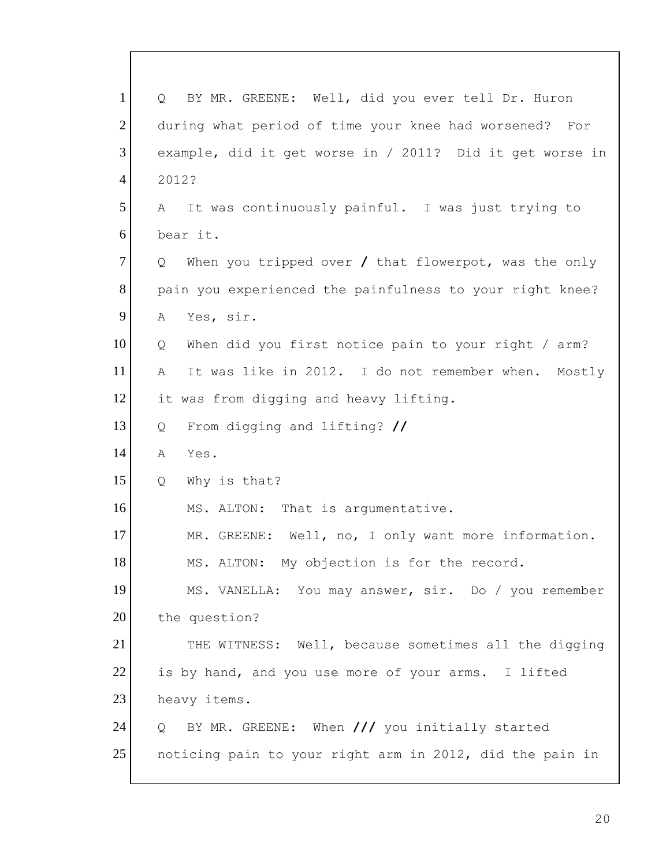| $\mathbf{1}$   | BY MR. GREENE: Well, did you ever tell Dr. Huron<br>$\circ$ |
|----------------|-------------------------------------------------------------|
| $\overline{2}$ | during what period of time your knee had worsened?<br>For   |
| 3              | example, did it get worse in / 2011? Did it get worse in    |
| $\overline{4}$ | 2012?                                                       |
| 5              | It was continuously painful. I was just trying to<br>A      |
| 6              | bear it.                                                    |
| 7              | When you tripped over $/$ that flowerpot, was the only<br>Q |
| 8              | pain you experienced the painfulness to your right knee?    |
| 9              | Yes, sir.<br>Α                                              |
| 10             | When did you first notice pain to your right / arm?<br>Q    |
| 11             | It was like in 2012. I do not remember when.<br>Α<br>Mostly |
| 12             | it was from digging and heavy lifting.                      |
| 13             | From digging and lifting? //<br>Q                           |
| 14             | Α<br>Yes.                                                   |
| 15             | Why is that?<br>Q                                           |
| 16             | MS. ALTON: That is argumentative.                           |
| 17             | Well, no, I only want more information.<br>MR. GREENE:      |
| 18             | MS. ALTON: My objection is for the record.                  |
| 19             | MS. VANELLA: You may answer, sir. Do / you remember         |
| 20             | the question?                                               |
| 21             | THE WITNESS: Well, because sometimes all the digging        |
| 22             | is by hand, and you use more of your arms. I lifted         |
| 23             | heavy items.                                                |
| 24             | BY MR. GREENE: When /// you initially started<br>Q          |
| 25             | noticing pain to your right arm in 2012, did the pain in    |